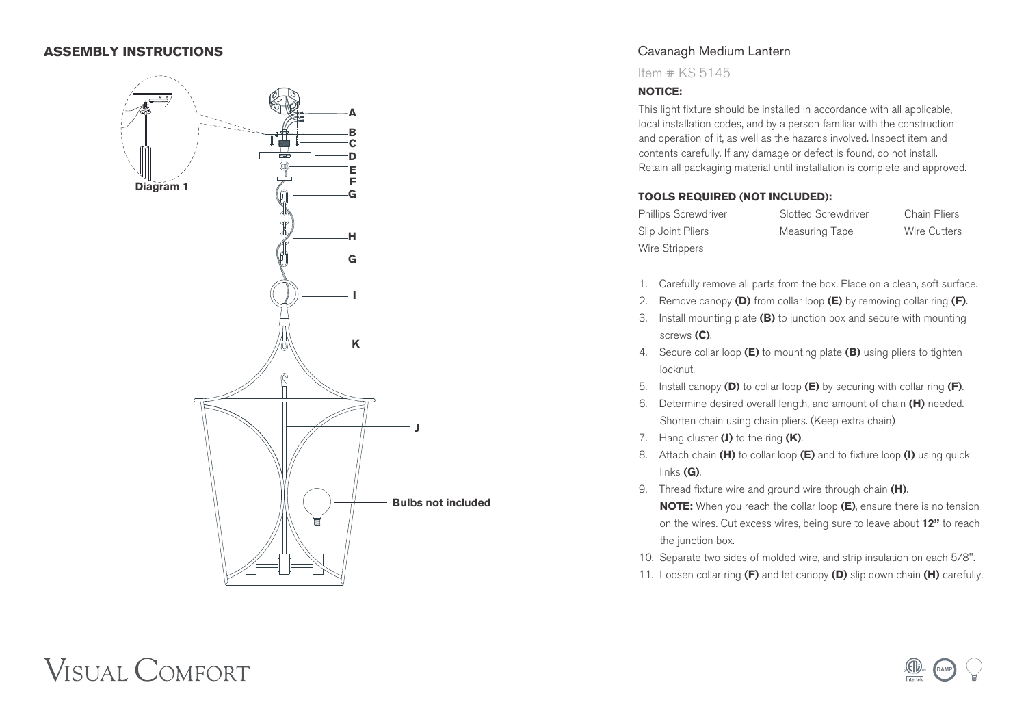### **ASSEMBLY INSTRUCTIONS**



## Cavanagh Medium Lantern

Item # KS 5145

#### **NOTICE:**

This light fixture should be installed in accordance with all applicable, local installation codes, and by a person familiar with the construction and operation of it, as well as the hazards involved. Inspect item and contents carefully. If any damage or defect is found, do not install. Retain all packaging material until installation is complete and approved.

#### **TOOLS REQUIRED (NOT INCLUDED):**

Phillips Screwdriver Slotted Screwdriver Chain Pliers Slip Joint Pliers Measuring Tape Wire Cutters Wire Strippers

**DAMP**

**US**

- 1. Carefully remove all parts from the box. Place on a clean, soft surface.
- 2. Remove canopy **(D)** from collar loop **(E)** by removing collar ring **(F)**.
- 3. Install mounting plate **(B)** to junction box and secure with mounting screws **(C)**.
- 4. Secure collar loop **(E)** to mounting plate **(B)** using pliers to tighten locknut.
- 5. Install canopy **(D)** to collar loop **(E)** by securing with collar ring **(F)**.
- 6. Determine desired overall length, and amount of chain **(H)** needed. Shorten chain using chain pliers. (Keep extra chain)
- 7. Hang cluster **(J)** to the ring **(K)**.
- 8. Attach chain **(H)** to collar loop **(E)** and to fixture loop **(I)** using quick links **(G)**.
- 9. Thread fixture wire and ground wire through chain **(H)**.  **NOTE:** When you reach the collar loop **(E)**, ensure there is no tension on the wires. Cut excess wires, being sure to leave about **12"** to reach the junction box.
- 10. Separate two sides of molded wire, and strip insulation on each 5/8".
- 11. Loosen collar ring **(F)** and let canopy **(D)** slip down chain **(H)** carefully.

# **VISUAL COMFORT**